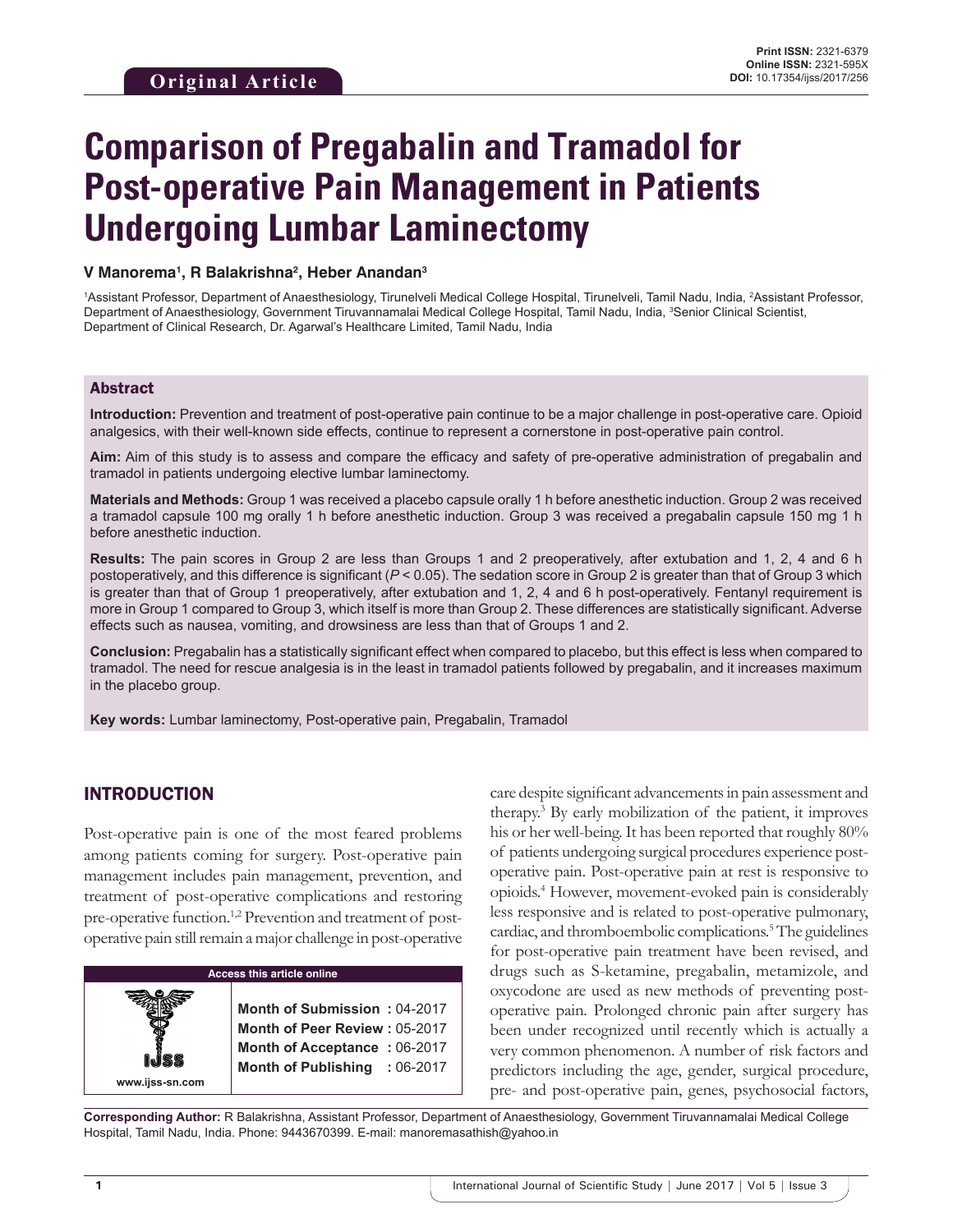# **Comparison of Pregabalin and Tramadol for Post-operative Pain Management in Patients Undergoing Lumbar Laminectomy**

#### **V Manorema1 , R Balakrishna2 , Heber Anandan3**

<sup>1</sup>Assistant Professor, Department of Anaesthesiology, Tirunelveli Medical College Hospital, Tirunelveli, Tamil Nadu, India, <sup>2</sup>Assistant Professor, Department of Anaesthesiology, Government Tiruvannamalai Medical College Hospital, Tamil Nadu, India, <sup>3</sup>Senior Clinical Scientist, Department of Clinical Research, Dr. Agarwal's Healthcare Limited, Tamil Nadu, India

#### Abstract

**Introduction:** Prevention and treatment of post-operative pain continue to be a major challenge in post-operative care. Opioid analgesics, with their well-known side effects, continue to represent a cornerstone in post-operative pain control.

**Aim:** Aim of this study is to assess and compare the efficacy and safety of pre-operative administration of pregabalin and tramadol in patients undergoing elective lumbar laminectomy.

**Materials and Methods:** Group 1 was received a placebo capsule orally 1 h before anesthetic induction. Group 2 was received a tramadol capsule 100 mg orally 1 h before anesthetic induction. Group 3 was received a pregabalin capsule 150 mg 1 h before anesthetic induction.

**Results:** The pain scores in Group 2 are less than Groups 1 and 2 preoperatively, after extubation and 1, 2, 4 and 6 h postoperatively, and this difference is significant (*P* < 0.05). The sedation score in Group 2 is greater than that of Group 3 which is greater than that of Group 1 preoperatively, after extubation and 1, 2, 4 and 6 h post-operatively. Fentanyl requirement is more in Group 1 compared to Group 3, which itself is more than Group 2. These differences are statistically significant. Adverse effects such as nausea, vomiting, and drowsiness are less than that of Groups 1 and 2.

**Conclusion:** Pregabalin has a statistically significant effect when compared to placebo, but this effect is less when compared to tramadol. The need for rescue analgesia is in the least in tramadol patients followed by pregabalin, and it increases maximum in the placebo group.

**Key words:** Lumbar laminectomy, Post-operative pain, Pregabalin, Tramadol

## INTRODUCTION

**www.ijss-sn.com**

Post-operative pain is one of the most feared problems among patients coming for surgery. Post-operative pain management includes pain management, prevention, and treatment of post-operative complications and restoring pre-operative function.<sup>1,2</sup> Prevention and treatment of postoperative pain still remain a major challenge in post-operative

## **Access this article online**

**Month of Submission :** 04-2017 **Month of Peer Review :** 05-2017 **Month of Acceptance :** 06-2017 **Month of Publishing :** 06-2017 care despite significant advancements in pain assessment and therapy.3 By early mobilization of the patient, it improves his or her well-being. It has been reported that roughly 80% of patients undergoing surgical procedures experience postoperative pain. Post-operative pain at rest is responsive to opioids.<sup>4</sup> However, movement-evoked pain is considerably less responsive and is related to post-operative pulmonary, cardiac, and thromboembolic complications.<sup>5</sup> The guidelines for post-operative pain treatment have been revised, and drugs such as S-ketamine, pregabalin, metamizole, and oxycodone are used as new methods of preventing postoperative pain. Prolonged chronic pain after surgery has been under recognized until recently which is actually a very common phenomenon. A number of risk factors and predictors including the age, gender, surgical procedure, pre- and post-operative pain, genes, psychosocial factors,

**Corresponding Author:** R Balakrishna, Assistant Professor, Department of Anaesthesiology, Government Tiruvannamalai Medical College Hospital, Tamil Nadu, India. Phone: 9443670399. E-mail: manoremasathish@yahoo.in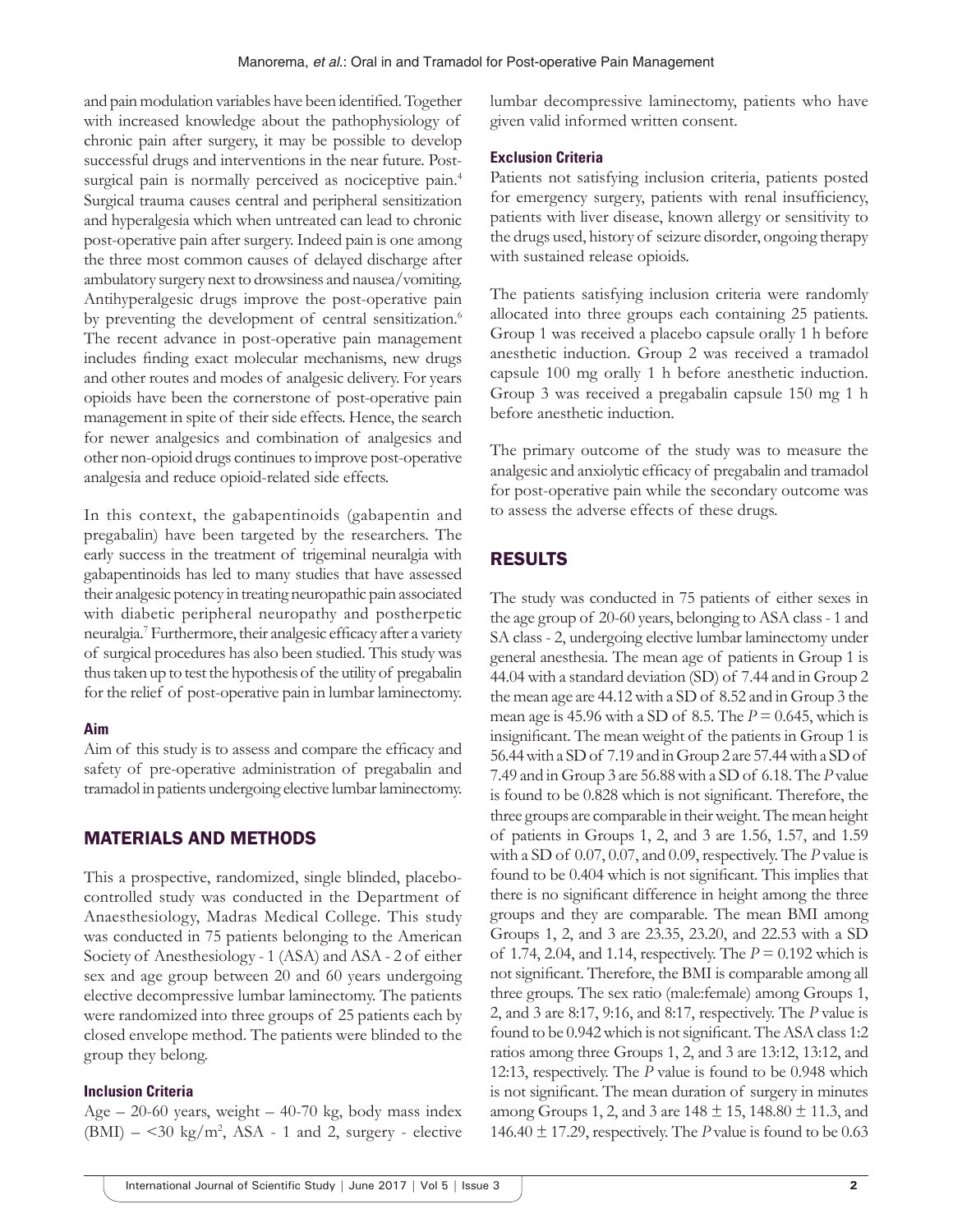and pain modulation variables have been identified. Together with increased knowledge about the pathophysiology of chronic pain after surgery, it may be possible to develop successful drugs and interventions in the near future. Postsurgical pain is normally perceived as nociceptive pain.<sup>4</sup> Surgical trauma causes central and peripheral sensitization and hyperalgesia which when untreated can lead to chronic post-operative pain after surgery. Indeed pain is one among the three most common causes of delayed discharge after ambulatory surgery next to drowsiness and nausea/vomiting. Antihyperalgesic drugs improve the post-operative pain by preventing the development of central sensitization.<sup>6</sup> The recent advance in post-operative pain management includes finding exact molecular mechanisms, new drugs and other routes and modes of analgesic delivery. For years opioids have been the cornerstone of post-operative pain management in spite of their side effects. Hence, the search for newer analgesics and combination of analgesics and other non-opioid drugs continues to improve post-operative analgesia and reduce opioid-related side effects.

In this context, the gabapentinoids (gabapentin and pregabalin) have been targeted by the researchers. The early success in the treatment of trigeminal neuralgia with gabapentinoids has led to many studies that have assessed their analgesic potency in treating neuropathic pain associated with diabetic peripheral neuropathy and postherpetic neuralgia.<sup>7</sup> Furthermore, their analgesic efficacy after a variety of surgical procedures has also been studied. This study was thus taken up to test the hypothesis of the utility of pregabalin for the relief of post-operative pain in lumbar laminectomy.

#### **Aim**

Aim of this study is to assess and compare the efficacy and safety of pre-operative administration of pregabalin and tramadol in patients undergoing elective lumbar laminectomy.

## MATERIALS AND METHODS

This a prospective, randomized, single blinded, placebocontrolled study was conducted in the Department of Anaesthesiology, Madras Medical College. This study was conducted in 75 patients belonging to the American Society of Anesthesiology - 1 (ASA) and ASA - 2 of either sex and age group between 20 and 60 years undergoing elective decompressive lumbar laminectomy. The patients were randomized into three groups of 25 patients each by closed envelope method. The patients were blinded to the group they belong.

#### **Inclusion Criteria**

Age  $-20$ -60 years, weight  $-40$ -70 kg, body mass index  $(BMI) - \leq 30$  kg/m<sup>2</sup>, ASA - 1 and 2, surgery - elective lumbar decompressive laminectomy, patients who have given valid informed written consent.

#### **Exclusion Criteria**

Patients not satisfying inclusion criteria, patients posted for emergency surgery, patients with renal insufficiency, patients with liver disease, known allergy or sensitivity to the drugs used, history of seizure disorder, ongoing therapy with sustained release opioids.

The patients satisfying inclusion criteria were randomly allocated into three groups each containing 25 patients. Group 1 was received a placebo capsule orally 1 h before anesthetic induction. Group 2 was received a tramadol capsule 100 mg orally 1 h before anesthetic induction. Group 3 was received a pregabalin capsule 150 mg 1 h before anesthetic induction.

The primary outcome of the study was to measure the analgesic and anxiolytic efficacy of pregabalin and tramadol for post-operative pain while the secondary outcome was to assess the adverse effects of these drugs.

## RESULTS

The study was conducted in 75 patients of either sexes in the age group of 20-60 years, belonging to ASA class- 1 and SA class - 2, undergoing elective lumbar laminectomy under general anesthesia. The mean age of patients in Group 1 is 44.04 with a standard deviation (SD) of 7.44 and in Group 2 the mean age are 44.12 with a SD of 8.52 and in Group 3 the mean age is 45.96 with a SD of 8.5. The  $P = 0.645$ , which is insignificant. The mean weight of the patients in Group 1 is 56.44 with a SD of 7.19 and in Group 2 are 57.44 with a SD of 7.49 and in Group 3 are 56.88 with a SD of 6.18. The *P* value is found to be 0.828 which is not significant. Therefore, the three groups are comparable in their weight. The mean height of patients in Groups 1, 2, and 3 are 1.56, 1.57, and 1.59 with a SD of 0.07, 0.07, and 0.09, respectively. The *P* value is found to be 0.404 which is not significant. This implies that there is no significant difference in height among the three groups and they are comparable. The mean BMI among Groups 1, 2, and 3 are 23.35, 23.20, and 22.53 with a SD of 1.74, 2.04, and 1.14, respectively. The *P* = 0.192 which is not significant. Therefore, the BMI is comparable among all three groups. The sex ratio (male:female) among Groups 1, 2, and 3 are 8:17, 9:16, and 8:17, respectively. The *P* value is found to be 0.942 which is not significant. The ASA class 1:2 ratios among three Groups 1, 2, and 3 are 13:12, 13:12, and 12:13, respectively. The *P* value is found to be 0.948 which is not significant. The mean duration of surgery in minutes among Groups 1, 2, and 3 are  $148 \pm 15$ ,  $148.80 \pm 11.3$ , and 146.40  $\pm$  17.29, respectively. The *P* value is found to be 0.63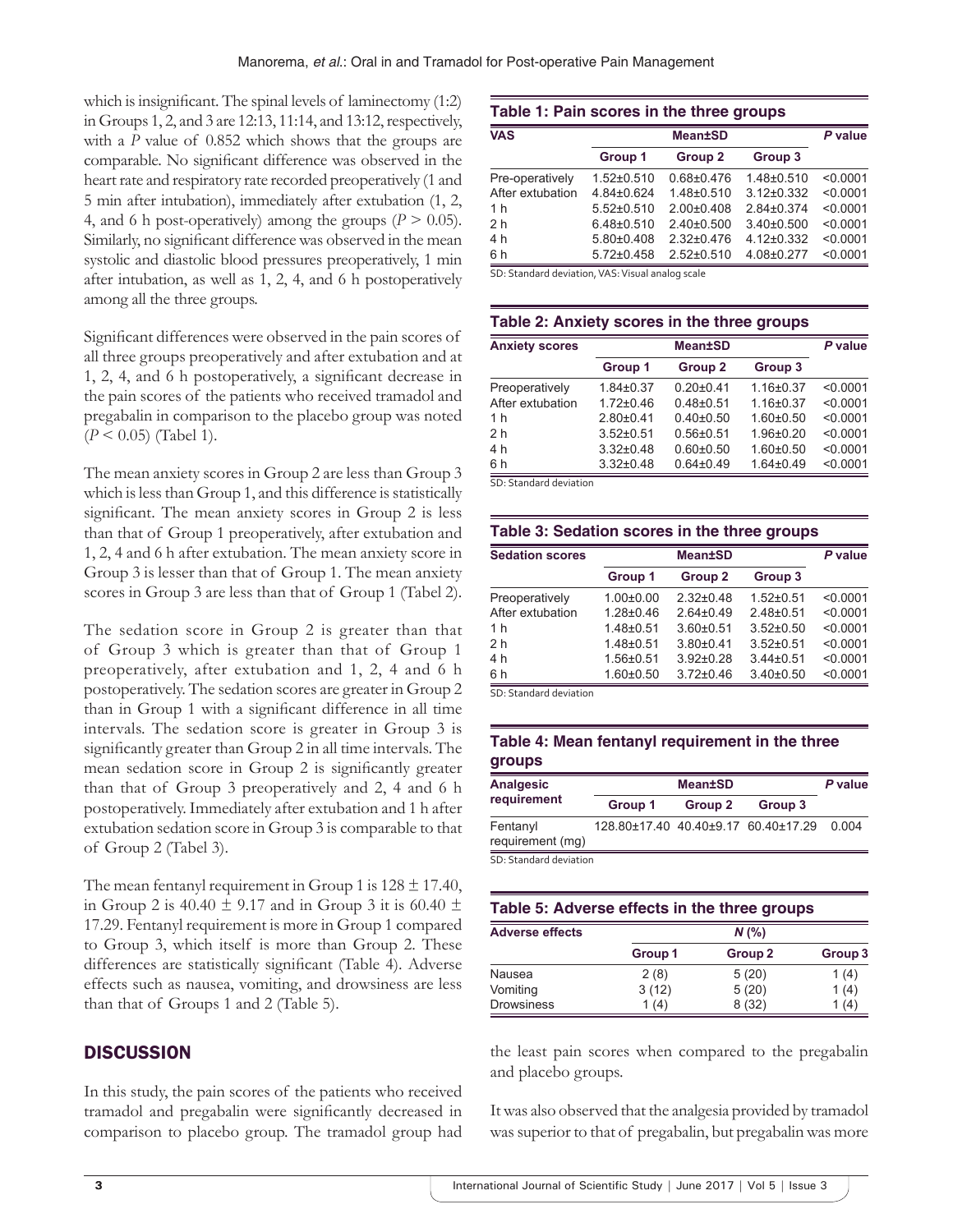which is insignificant. The spinal levels of laminectomy (1:2) in Groups 1, 2, and 3 are 12:13, 11:14, and 13:12, respectively, with a *P* value of 0.852 which shows that the groups are comparable. No significant difference was observed in the heart rate and respiratory rate recorded preoperatively (1 and 5 min after intubation), immediately after extubation (1, 2, 4, and 6 h post-operatively) among the groups  $(P > 0.05)$ . Similarly, no significant difference was observed in the mean systolic and diastolic blood pressures preoperatively, 1 min after intubation, as well as 1, 2, 4, and 6 h postoperatively among all the three groups.

Significant differences were observed in the pain scores of all three groups preoperatively and after extubation and at 1, 2, 4, and 6 h postoperatively, a significant decrease in the pain scores of the patients who received tramadol and pregabalin in comparison to the placebo group was noted (*P* < 0.05) (Tabel 1).

The mean anxiety scores in Group 2 are less than Group 3 which is less than Group 1, and this difference is statistically significant. The mean anxiety scores in Group 2 is less than that of Group 1 preoperatively, after extubation and 1, 2, 4 and 6 h after extubation. The mean anxiety score in Group 3 is lesser than that of Group 1. The mean anxiety scores in Group 3 are less than that of Group 1 (Tabel 2).

The sedation score in Group 2 is greater than that of Group 3 which is greater than that of Group 1 preoperatively, after extubation and 1, 2, 4 and 6 h postoperatively. The sedation scores are greater in Group 2 than in Group 1 with a significant difference in all time intervals. The sedation score is greater in Group 3 is significantly greater than Group 2 in all time intervals. The mean sedation score in Group 2 is significantly greater than that of Group 3 preoperatively and 2, 4 and 6 h postoperatively. Immediately after extubation and 1 h after extubation sedation score in Group 3 is comparable to that of Group 2 (Tabel 3).

The mean fentanyl requirement in Group 1 is  $128 \pm 17.40$ , in Group 2 is 40.40  $\pm$  9.17 and in Group 3 it is 60.40  $\pm$ 17.29. Fentanyl requirement is more in Group 1 compared to Group 3, which itself is more than Group 2. These differences are statistically significant (Table 4). Adverse effects such as nausea, vomiting, and drowsiness are less than that of Groups 1 and 2 (Table 5).

## **DISCUSSION**

In this study, the pain scores of the patients who received tramadol and pregabalin were significantly decreased in comparison to placebo group. The tramadol group had

| Table 1: Pain scores in the three groups |                  |                    |                  |          |  |
|------------------------------------------|------------------|--------------------|------------------|----------|--|
| <b>VAS</b>                               | <b>Mean±SD</b>   |                    |                  | P value  |  |
|                                          | Group 1          | Group <sub>2</sub> | Group 3          |          |  |
| Pre-operatively                          | 1.52±0.510       | $0.68 + 0.476$     | $1.48 + 0.510$   | < 0.0001 |  |
| After extubation                         | 4.84±0.624       | 1.48±0.510         | $3.12 \pm 0.332$ | < 0.0001 |  |
| 1 h                                      | $5.52 \pm 0.510$ | $2.00 \pm 0.408$   | $284+0374$       | < 0.0001 |  |
| 2 <sub>h</sub>                           | $6.48{\pm}0.510$ | $2.40\pm0.500$     | $3.40\pm0.500$   | < 0.0001 |  |
| 4 h                                      | $5.80{\pm}0.408$ | $2.32 \pm 0.476$   | 4.12±0.332       | < 0.0001 |  |
| 6 h                                      | $5.72{\pm}0.458$ | $2.52 \pm 0.510$   | 4.08±0.277       | < 0.0001 |  |

SD: Standard deviation, VAS: Visual analog scale

#### **Table 2: Anxiety scores in the three groups**

| <b>Anxiety scores</b> | <b>Mean±SD</b>  |                    |                 | P value  |
|-----------------------|-----------------|--------------------|-----------------|----------|
|                       | Group 1         | Group <sub>2</sub> | Group 3         |          |
| Preoperatively        | $1.84 \pm 0.37$ | $0.20 + 0.41$      | $1.16 + 0.37$   | < 0.0001 |
| After extubation      | $1.72 \pm 0.46$ | $0.48 + 0.51$      | $1.16 \pm 0.37$ | < 0.0001 |
| 1 <sub>h</sub>        | $2.80+0.41$     | $0.40{\pm}0.50$    | $1.60 + 0.50$   | < 0.0001 |
| 2 <sub>h</sub>        | $3.52 \pm 0.51$ | $0.56 + 0.51$      | $1.96 \pm 0.20$ | < 0.0001 |
| 4 h                   | $3.32\pm0.48$   | $0.60 + 0.50$      | $1.60 + 0.50$   | < 0.0001 |
| 6h                    | $3.32 \pm 0.48$ | $0.64 \pm 0.49$    | $1.64 + 0.49$   | < 0.0001 |

SD: Standard deviation

| <b>Sedation scores</b> | <b>Mean±SD</b>  |                    |                 | P value  |
|------------------------|-----------------|--------------------|-----------------|----------|
|                        | Group 1         | Group <sub>2</sub> | Group 3         |          |
| Preoperatively         | $1.00 \pm 0.00$ | $2.32 \pm 0.48$    | $1.52 \pm 0.51$ | < 0.0001 |
| After extubation       | $1.28 + 0.46$   | $2.64\pm0.49$      | $2.48\pm0.51$   | < 0.0001 |
| 1 <sub>h</sub>         | $1.48 + 0.51$   | $3.60 + 0.51$      | $3.52 \pm 0.50$ | < 0.0001 |
| 2 <sub>h</sub>         | $1.48 + 0.51$   | $3.80 + 0.41$      | $3.52 \pm 0.51$ | < 0.0001 |
| 4 h                    | $1.56 \pm 0.51$ | $3.92 \pm 0.28$    | $3.44 \pm 0.51$ | < 0.0001 |
| 6h                     | $1.60 + 0.50$   | $3.72 \pm 0.46$    | $3.40 \pm 0.50$ | < 0.0001 |

SD: Standard deviation

#### **Table 4: Mean fentanyl requirement in the three groups**

| <b>Analgesic</b>             |                                           | P value |         |  |
|------------------------------|-------------------------------------------|---------|---------|--|
| requirement                  | Group 1                                   | Group 2 | Group 3 |  |
| Fentanyl<br>requirement (mq) | 128.80±17.40 40.40±9.17 60.40±17.29 0.004 |         |         |  |
| CD Ctandard doviation        |                                           |         |         |  |

SD: Standard deviation

| Table 5: Adverse effects in the three groups |         |                    |         |  |  |
|----------------------------------------------|---------|--------------------|---------|--|--|
| <b>Adverse effects</b>                       |         | $N$ (%)            |         |  |  |
|                                              | Group 1 | Group <sub>2</sub> | Group 3 |  |  |
| Nausea                                       | 2(8)    | 5(20)              | 1(4)    |  |  |
| Vomiting                                     | 3(12)   | 5(20)              | 1(4)    |  |  |
| <b>Drowsiness</b>                            | 1(4)    | 8(32)              | 1(4)    |  |  |

the least pain scores when compared to the pregabalin and placebo groups.

It was also observed that the analgesia provided by tramadol was superior to that of pregabalin, but pregabalin was more